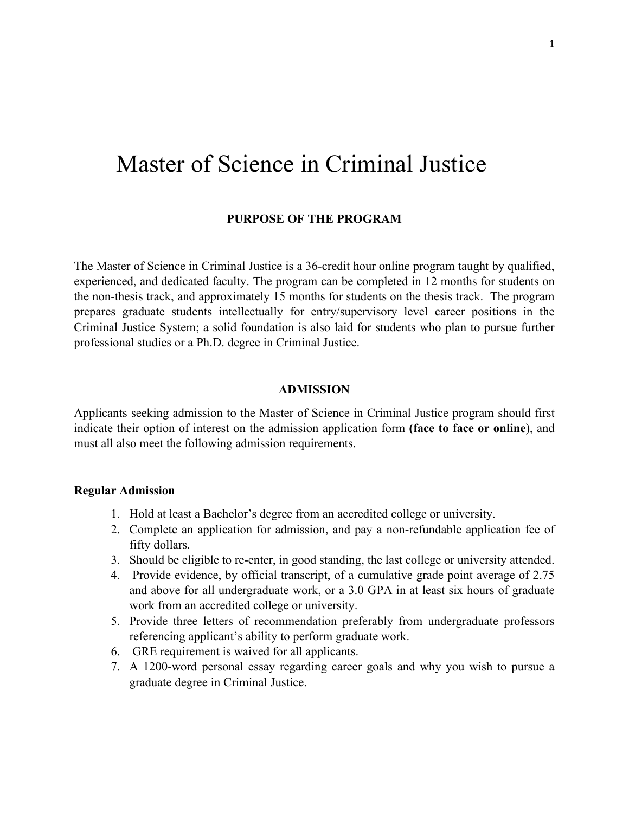# Master of Science in Criminal Justice

## **PURPOSE OF THE PROGRAM**

The Master of Science in Criminal Justice is a 36-credit hour online program taught by qualified, experienced, and dedicated faculty. The program can be completed in 12 months for students on the non-thesis track, and approximately 15 months for students on the thesis track. The program prepares graduate students intellectually for entry/supervisory level career positions in the Criminal Justice System; a solid foundation is also laid for students who plan to pursue further professional studies or a Ph.D. degree in Criminal Justice.

## **ADMISSION**

Applicants seeking admission to the Master of Science in Criminal Justice program should first indicate their option of interest on the admission application form **(face to face or online**), and must all also meet the following admission requirements.

# **Regular Admission**

- 1. Hold at least a Bachelor's degree from an accredited college or university.
- 2. Complete an application for admission, and pay a non-refundable application fee of fifty dollars.
- 3. Should be eligible to re-enter, in good standing, the last college or university attended.
- 4. Provide evidence, by official transcript, of a cumulative grade point average of 2.75 and above for all undergraduate work, or a 3.0 GPA in at least six hours of graduate work from an accredited college or university.
- 5. Provide three letters of recommendation preferably from undergraduate professors referencing applicant's ability to perform graduate work.
- 6. GRE requirement is waived for all applicants.
- 7. A 1200-word personal essay regarding career goals and why you wish to pursue a graduate degree in Criminal Justice.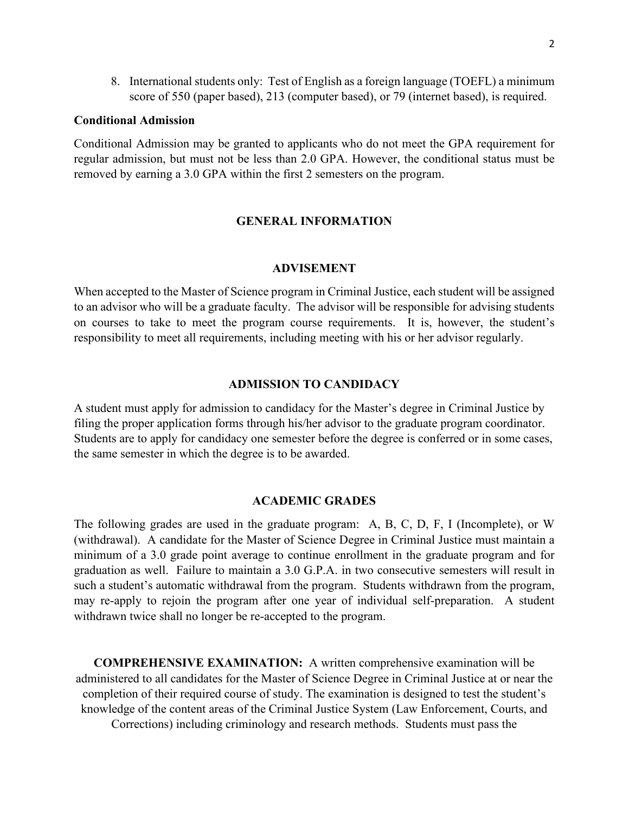8. International students only: Test of English as a foreign language (TOEFL) a minimum score of 550 (paper based), 213 (computer based), or 79 (internet based), is required.

## **Conditional Admission**

Conditional Admission may be granted to applicants who do not meet the GPA requirement for regular admission, but must not be less than 2.0 GPA. However, the conditional status must be removed by earning a 3.0 GPA within the first 2 semesters on the program.

# **GENERAL INFORMATION**

#### **ADVISEMENT**

When accepted to the Master of Science program in Criminal Justice, each student will be assigned to an advisor who will be a graduate faculty. The advisor will be responsible for advising students on courses to take to meet the program course requirements. It is, however, the student's responsibility to meet all requirements, including meeting with his or her advisor regularly.

#### **ADMISSION TO CANDIDACY**

A student must apply for admission to candidacy for the Master's degree in Criminal Justice by filing the proper application forms through his/her advisor to the graduate program coordinator. Students are to apply for candidacy one semester before the degree is conferred or in some cases, the same semester in which the degree is to be awarded.

#### **ACADEMIC GRADES**

The following grades are used in the graduate program: A, B, C, D, F, I (Incomplete), or W (withdrawal). A candidate for the Master of Science Degree in Criminal Justice must maintain a minimum of a 3.0 grade point average to continue enrollment in the graduate program and for graduation as well. Failure to maintain a 3.0 G.P.A. in two consecutive semesters will result in such a student's automatic withdrawal from the program. Students withdrawn from the program, may re-apply to rejoin the program after one year of individual self-preparation. A student withdrawn twice shall no longer be re-accepted to the program.

**COMPREHENSIVE EXAMINATION:** A written comprehensive examination will be administered to all candidates for the Master of Science Degree in Criminal Justice at or near the completion of their required course of study. The examination is designed to test the student's knowledge of the content areas of the Criminal Justice System (Law Enforcement, Courts, and Corrections) including criminology and research methods. Students must pass the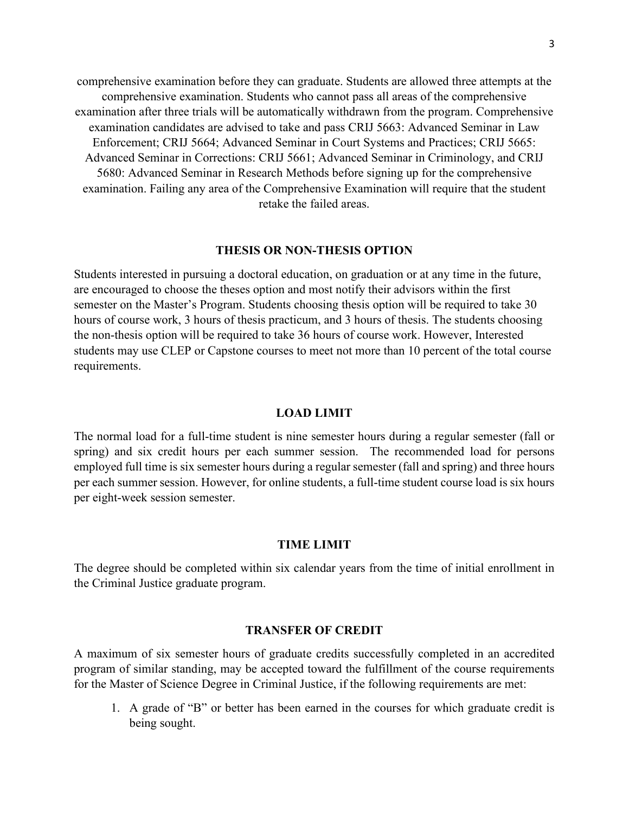comprehensive examination before they can graduate. Students are allowed three attempts at the comprehensive examination. Students who cannot pass all areas of the comprehensive examination after three trials will be automatically withdrawn from the program. Comprehensive examination candidates are advised to take and pass CRIJ 5663: Advanced Seminar in Law Enforcement; CRIJ 5664; Advanced Seminar in Court Systems and Practices; CRIJ 5665: Advanced Seminar in Corrections: CRIJ 5661; Advanced Seminar in Criminology, and CRIJ 5680: Advanced Seminar in Research Methods before signing up for the comprehensive examination. Failing any area of the Comprehensive Examination will require that the student retake the failed areas.

#### **THESIS OR NON-THESIS OPTION**

Students interested in pursuing a doctoral education, on graduation or at any time in the future, are encouraged to choose the theses option and most notify their advisors within the first semester on the Master's Program. Students choosing thesis option will be required to take 30 hours of course work, 3 hours of thesis practicum, and 3 hours of thesis. The students choosing the non-thesis option will be required to take 36 hours of course work. However, Interested students may use CLEP or Capstone courses to meet not more than 10 percent of the total course requirements.

#### **LOAD LIMIT**

The normal load for a full-time student is nine semester hours during a regular semester (fall or spring) and six credit hours per each summer session. The recommended load for persons employed full time is six semester hours during a regular semester (fall and spring) and three hours per each summer session. However, for online students, a full-time student course load is six hours per eight-week session semester.

## **TIME LIMIT**

The degree should be completed within six calendar years from the time of initial enrollment in the Criminal Justice graduate program.

## **TRANSFER OF CREDIT**

A maximum of six semester hours of graduate credits successfully completed in an accredited program of similar standing, may be accepted toward the fulfillment of the course requirements for the Master of Science Degree in Criminal Justice, if the following requirements are met:

1. A grade of "B" or better has been earned in the courses for which graduate credit is being sought.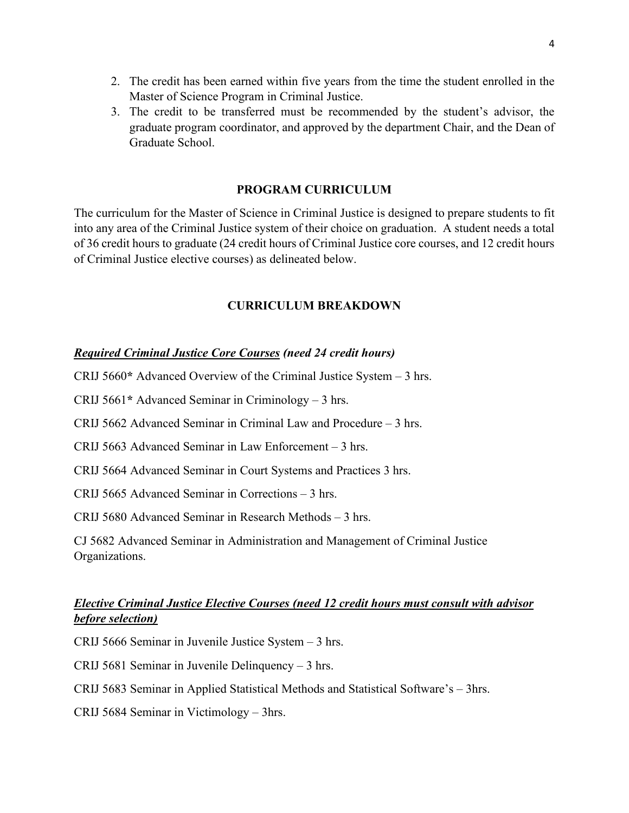- 2. The credit has been earned within five years from the time the student enrolled in the Master of Science Program in Criminal Justice.
- 3. The credit to be transferred must be recommended by the student's advisor, the graduate program coordinator, and approved by the department Chair, and the Dean of Graduate School.

# **PROGRAM CURRICULUM**

The curriculum for the Master of Science in Criminal Justice is designed to prepare students to fit into any area of the Criminal Justice system of their choice on graduation. A student needs a total of 36 credit hours to graduate (24 credit hours of Criminal Justice core courses, and 12 credit hours of Criminal Justice elective courses) as delineated below.

# **CURRICULUM BREAKDOWN**

# *Required Criminal Justice Core Courses (need 24 credit hours)*

CRIJ 5660**\*** Advanced Overview of the Criminal Justice System – 3 hrs.

CRIJ 5661**\*** Advanced Seminar in Criminology – 3 hrs.

CRIJ 5662 Advanced Seminar in Criminal Law and Procedure – 3 hrs.

CRIJ 5663 Advanced Seminar in Law Enforcement – 3 hrs.

CRIJ 5664 Advanced Seminar in Court Systems and Practices 3 hrs.

CRIJ 5665 Advanced Seminar in Corrections – 3 hrs.

CRIJ 5680 Advanced Seminar in Research Methods – 3 hrs.

CJ 5682 Advanced Seminar in Administration and Management of Criminal Justice Organizations.

# *Elective Criminal Justice Elective Courses (need 12 credit hours must consult with advisor before selection)*

CRIJ 5666 Seminar in Juvenile Justice System – 3 hrs.

CRIJ 5681 Seminar in Juvenile Delinquency – 3 hrs.

CRIJ 5683 Seminar in Applied Statistical Methods and Statistical Software's – 3hrs.

CRIJ 5684 Seminar in Victimology – 3hrs.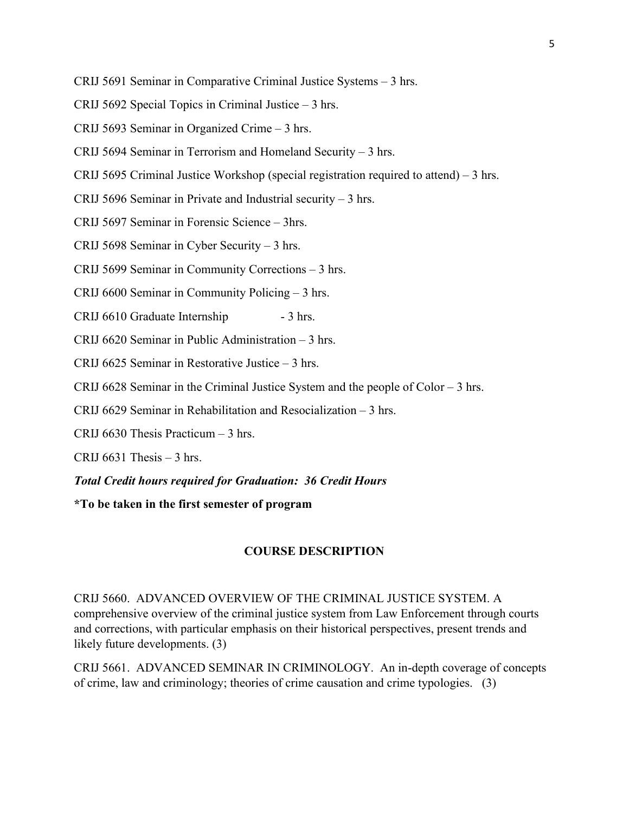- CRIJ 5691 Seminar in Comparative Criminal Justice Systems 3 hrs.
- CRIJ 5692 Special Topics in Criminal Justice 3 hrs.
- CRIJ 5693 Seminar in Organized Crime 3 hrs.
- CRIJ 5694 Seminar in Terrorism and Homeland Security 3 hrs.
- CRIJ 5695 Criminal Justice Workshop (special registration required to attend) 3 hrs.
- CRIJ 5696 Seminar in Private and Industrial security 3 hrs.
- CRIJ 5697 Seminar in Forensic Science 3hrs.
- CRIJ 5698 Seminar in Cyber Security 3 hrs.
- CRIJ 5699 Seminar in Community Corrections 3 hrs.
- CRIJ 6600 Seminar in Community Policing 3 hrs.
- CRIJ 6610 Graduate Internship 3 hrs.
- CRIJ 6620 Seminar in Public Administration 3 hrs.
- CRIJ 6625 Seminar in Restorative Justice 3 hrs.
- CRIJ 6628 Seminar in the Criminal Justice System and the people of Color 3 hrs.
- CRIJ 6629 Seminar in Rehabilitation and Resocialization 3 hrs.
- CRIJ 6630 Thesis Practicum 3 hrs.
- CRIJ  $6631$  Thesis  $-3$  hrs.
- *Total Credit hours required for Graduation: 36 Credit Hours*
- **\*To be taken in the first semester of program**

# **COURSE DESCRIPTION**

CRIJ 5660. ADVANCED OVERVIEW OF THE CRIMINAL JUSTICE SYSTEM. A comprehensive overview of the criminal justice system from Law Enforcement through courts and corrections, with particular emphasis on their historical perspectives, present trends and likely future developments. (3)

CRIJ 5661. ADVANCED SEMINAR IN CRIMINOLOGY. An in-depth coverage of concepts of crime, law and criminology; theories of crime causation and crime typologies. (3)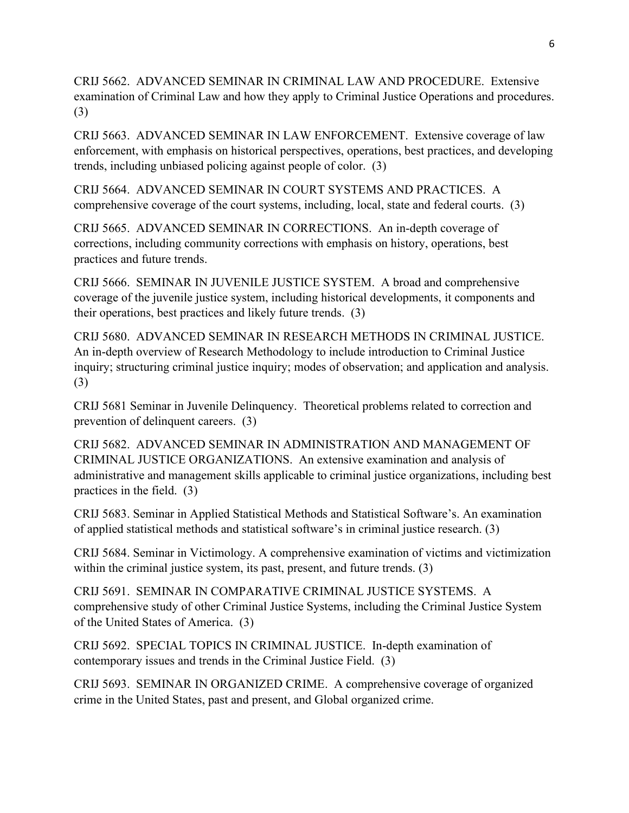CRIJ 5662. ADVANCED SEMINAR IN CRIMINAL LAW AND PROCEDURE. Extensive examination of Criminal Law and how they apply to Criminal Justice Operations and procedures. (3)

CRIJ 5663. ADVANCED SEMINAR IN LAW ENFORCEMENT. Extensive coverage of law enforcement, with emphasis on historical perspectives, operations, best practices, and developing trends, including unbiased policing against people of color. (3)

CRIJ 5664. ADVANCED SEMINAR IN COURT SYSTEMS AND PRACTICES. A comprehensive coverage of the court systems, including, local, state and federal courts. (3)

CRIJ 5665. ADVANCED SEMINAR IN CORRECTIONS. An in-depth coverage of corrections, including community corrections with emphasis on history, operations, best practices and future trends.

CRIJ 5666. SEMINAR IN JUVENILE JUSTICE SYSTEM. A broad and comprehensive coverage of the juvenile justice system, including historical developments, it components and their operations, best practices and likely future trends. (3)

CRIJ 5680. ADVANCED SEMINAR IN RESEARCH METHODS IN CRIMINAL JUSTICE. An in-depth overview of Research Methodology to include introduction to Criminal Justice inquiry; structuring criminal justice inquiry; modes of observation; and application and analysis. (3)

CRIJ 5681 Seminar in Juvenile Delinquency. Theoretical problems related to correction and prevention of delinquent careers. (3)

CRIJ 5682. ADVANCED SEMINAR IN ADMINISTRATION AND MANAGEMENT OF CRIMINAL JUSTICE ORGANIZATIONS. An extensive examination and analysis of administrative and management skills applicable to criminal justice organizations, including best practices in the field. (3)

CRIJ 5683. Seminar in Applied Statistical Methods and Statistical Software's. An examination of applied statistical methods and statistical software's in criminal justice research. (3)

CRIJ 5684. Seminar in Victimology. A comprehensive examination of victims and victimization within the criminal justice system, its past, present, and future trends. (3)

CRIJ 5691. SEMINAR IN COMPARATIVE CRIMINAL JUSTICE SYSTEMS. A comprehensive study of other Criminal Justice Systems, including the Criminal Justice System of the United States of America. (3)

CRIJ 5692. SPECIAL TOPICS IN CRIMINAL JUSTICE. In-depth examination of contemporary issues and trends in the Criminal Justice Field. (3)

CRIJ 5693. SEMINAR IN ORGANIZED CRIME. A comprehensive coverage of organized crime in the United States, past and present, and Global organized crime.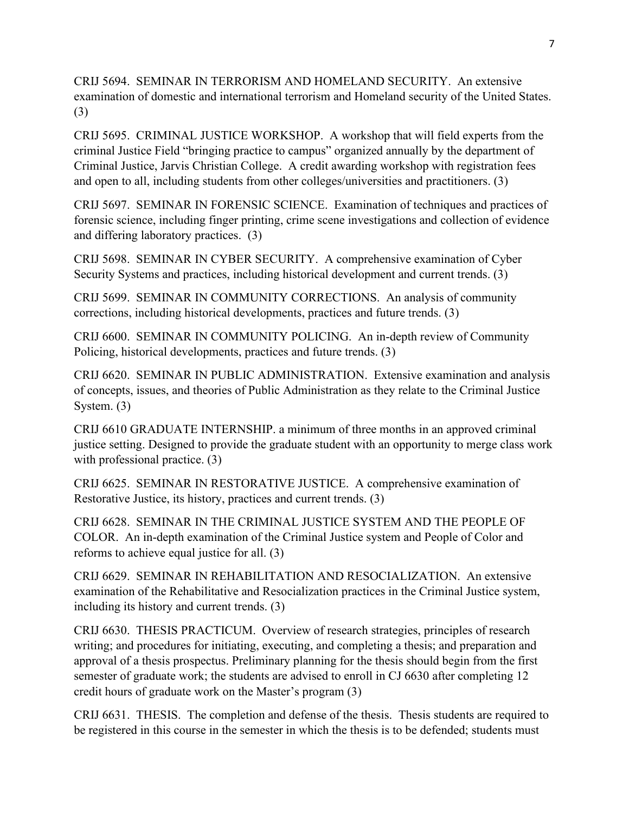CRIJ 5694. SEMINAR IN TERRORISM AND HOMELAND SECURITY. An extensive examination of domestic and international terrorism and Homeland security of the United States. (3)

CRIJ 5695. CRIMINAL JUSTICE WORKSHOP. A workshop that will field experts from the criminal Justice Field "bringing practice to campus" organized annually by the department of Criminal Justice, Jarvis Christian College. A credit awarding workshop with registration fees and open to all, including students from other colleges/universities and practitioners. (3)

CRIJ 5697. SEMINAR IN FORENSIC SCIENCE. Examination of techniques and practices of forensic science, including finger printing, crime scene investigations and collection of evidence and differing laboratory practices. (3)

CRIJ 5698. SEMINAR IN CYBER SECURITY. A comprehensive examination of Cyber Security Systems and practices, including historical development and current trends. (3)

CRIJ 5699. SEMINAR IN COMMUNITY CORRECTIONS. An analysis of community corrections, including historical developments, practices and future trends. (3)

CRIJ 6600. SEMINAR IN COMMUNITY POLICING. An in-depth review of Community Policing, historical developments, practices and future trends. (3)

CRIJ 6620. SEMINAR IN PUBLIC ADMINISTRATION. Extensive examination and analysis of concepts, issues, and theories of Public Administration as they relate to the Criminal Justice System. (3)

CRIJ 6610 GRADUATE INTERNSHIP. a minimum of three months in an approved criminal justice setting. Designed to provide the graduate student with an opportunity to merge class work with professional practice. (3)

CRIJ 6625. SEMINAR IN RESTORATIVE JUSTICE. A comprehensive examination of Restorative Justice, its history, practices and current trends. (3)

CRIJ 6628. SEMINAR IN THE CRIMINAL JUSTICE SYSTEM AND THE PEOPLE OF COLOR. An in-depth examination of the Criminal Justice system and People of Color and reforms to achieve equal justice for all. (3)

CRIJ 6629. SEMINAR IN REHABILITATION AND RESOCIALIZATION. An extensive examination of the Rehabilitative and Resocialization practices in the Criminal Justice system, including its history and current trends. (3)

CRIJ 6630. THESIS PRACTICUM. Overview of research strategies, principles of research writing; and procedures for initiating, executing, and completing a thesis; and preparation and approval of a thesis prospectus. Preliminary planning for the thesis should begin from the first semester of graduate work; the students are advised to enroll in CJ 6630 after completing 12 credit hours of graduate work on the Master's program (3)

CRIJ 6631. THESIS. The completion and defense of the thesis. Thesis students are required to be registered in this course in the semester in which the thesis is to be defended; students must